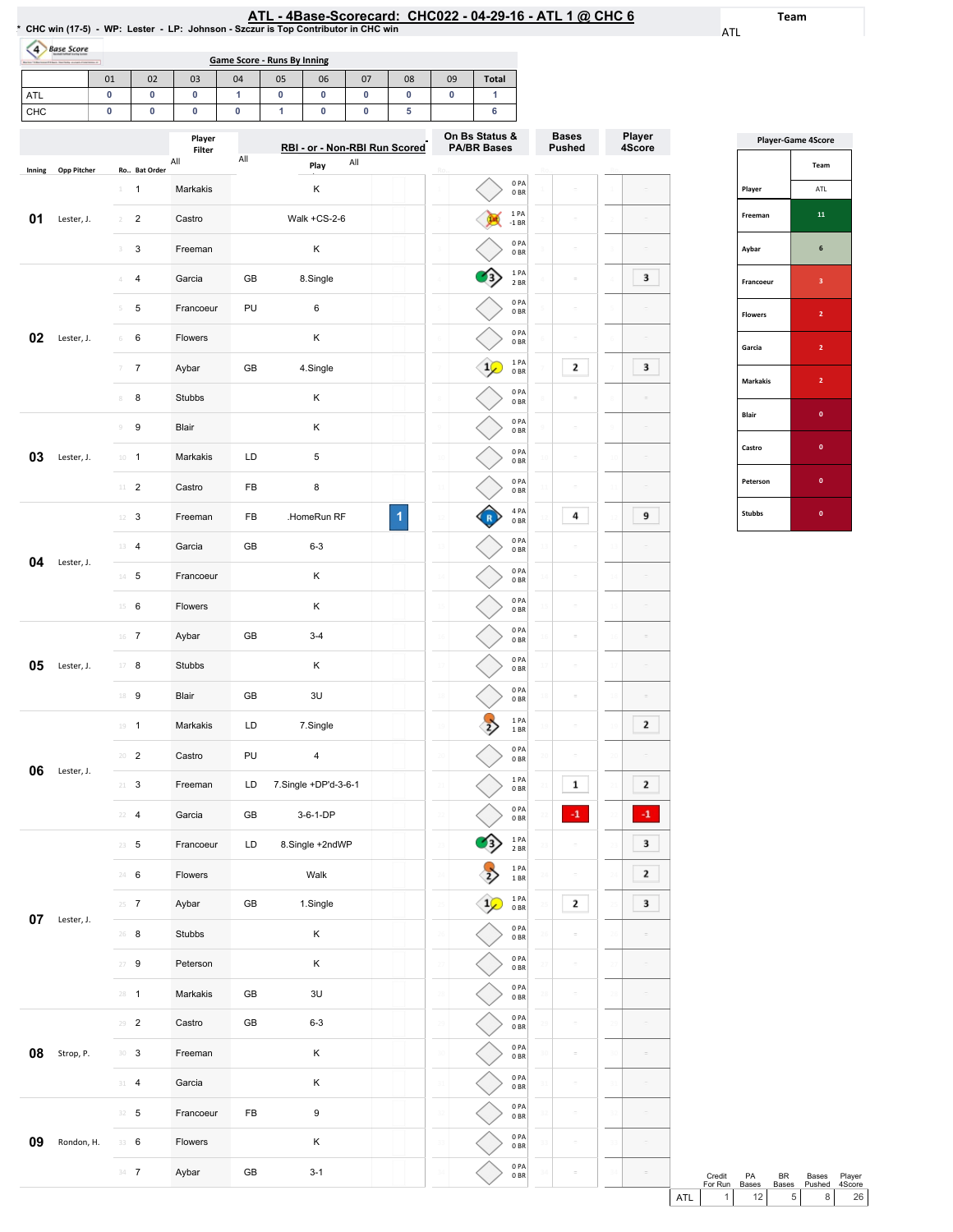Team

ATL

|                  | 4 Base Score  |                |                 |                  |     |                                          |                               |     |    |                                      |              |                         |                               |                  |
|------------------|---------------|----------------|-----------------|------------------|-----|------------------------------------------|-------------------------------|-----|----|--------------------------------------|--------------|-------------------------|-------------------------------|------------------|
|                  |               | 01             | 02              | 03               | 04  | <b>Game Score - Runs By Inning</b><br>05 | 06                            | 07  | 08 | 09                                   | <b>Total</b> |                         |                               |                  |
| ATL              |               | 0              | 0               | 0                | 1   | 0                                        | 0                             | 0   | 0  | 0                                    | 1            |                         |                               |                  |
| CHC              |               | 0              | 0               | 0                | 0   | 1                                        | $\pmb{0}$                     | 0   | 5  |                                      | 6            |                         |                               |                  |
|                  |               |                |                 | Player<br>Filter |     |                                          | RBI - or - Non-RBI Run Scored |     |    | On Bs Status &<br><b>PA/BR Bases</b> |              |                         | <b>Bases</b><br><b>Pushed</b> | Player<br>4Score |
| Inning           | Opp Pitcher   |                | Ro Bat Order    | All              | All |                                          | Play                          | All |    |                                      |              |                         |                               |                  |
|                  |               | $1 -$          | $\mathbf{1}$    | Markakis         |     |                                          | κ                             |     |    |                                      |              | 0PA<br>0BR              | $\equiv$                      |                  |
| 01<br>Lester, J. | $\mathcal{I}$ | $\overline{c}$ | Castro          |                  |     | Walk +CS-2-6                             |                               |     |    | 1PA<br>$-1$ BR                       |              |                         |                               |                  |
|                  |               | 3              | 3               | Freeman          |     |                                          | Κ                             |     |    |                                      |              | 0PA<br>0BR              | $\bar{a}$                     |                  |
|                  |               |                | 4               | Garcia           | GB  |                                          | 8.Single                      |     |    |                                      |              | 1PA<br>2 BR             | ÷                             | 3                |
|                  |               | 5              | 5               | Francoeur        | PU  |                                          | 6                             |     |    |                                      |              | 0PA<br>0 <sub>BR</sub>  | $\equiv$                      |                  |
| 02               | Lester, J.    | 6              | 6               | Flowers          |     |                                          | Κ                             |     |    |                                      |              | 0PA<br>0BR              | ÷                             |                  |
|                  |               |                | $\overline{7}$  | Aybar            | GB  |                                          | 4.Single                      |     |    |                                      | $1\sqrt{ }$  | 1 PA<br>0 <sub>BR</sub> | 2                             | з                |
|                  |               | 8              | 8               | Stubbs           |     |                                          | κ                             |     |    |                                      |              | 0PA<br>0BR              | ÷                             |                  |
|                  |               | 9              | 9               | Blair            |     |                                          | Κ                             |     |    |                                      |              | 0PA<br>0 BR             | $\equiv$                      |                  |
| 03               | Lester, J.    |                | $10 - 1$        | Markakis         | LD  |                                          | 5                             |     |    | $\mathfrak{U}$                       |              | 0PA<br>0 <sub>BR</sub>  | ċ                             |                  |
|                  |               |                | $11 - 2$        | Castro           | FB  |                                          | 8                             |     |    |                                      |              | 0PA<br>0B               | $\equiv$                      |                  |
|                  |               | 12             | 3               | Freeman          | FB  |                                          | .HomeRun RF                   |     | 1  |                                      |              | 4 PA<br>0BR             | 4                             | 9                |
| 04<br>Lester, J. | 13            | $\overline{4}$ | Garcia          | GB               |     | $6 - 3$                                  |                               |     | 18 |                                      | 0PA<br>0BR   |                         |                               |                  |
|                  |               |                | $14 - 5$        | Francoeur        |     |                                          | κ                             |     |    |                                      |              | 0PA<br>0 BR             | ÷                             |                  |
|                  |               |                | $15 \t 6$       | Flowers          |     |                                          | Κ                             |     |    |                                      |              | 0PA<br>0 <sub>BR</sub>  | $\bar{a}$                     |                  |
|                  |               |                | $16$ 7          | Aybar            | GB  |                                          | $3 - 4$                       |     |    | 16                                   |              | 0PA<br>0B               | ċ                             |                  |
| 05               | Lester, J.    |                | $17 - 8$        | Stubbs           |     |                                          | Κ                             |     |    |                                      |              | 0PA<br>0BR              |                               |                  |
|                  |               | 18             | 9               | Blair            | GB  |                                          | 3U                            |     |    |                                      |              | 0PA<br>0 <sub>BR</sub>  |                               |                  |
|                  |               |                | $19 - 1$        | Markakis         | LD  |                                          | 7.Single                      |     |    | 19                                   |              | 1PA<br>1 BR             | ÷                             | 2                |
|                  |               |                | $20 - 2$        | Castro           | PU  |                                          | 4                             |     |    | 20                                   |              | 0PA<br>$0\;\mathrm{BR}$ | $\equiv$                      |                  |
| 06               | Lester, J.    |                | $21 - 3$        | Freeman          | LD  |                                          | 7.Single +DP'd-3-6-1          |     |    | 21                                   |              | 1PA<br>$0\;\mathrm{BR}$ | 1                             | 2                |
|                  |               |                | $22 - 4$        | Garcia           | GB  |                                          | 3-6-1-DP                      |     |    |                                      |              | 0PA<br>0B               | $-1$                          | $-1$             |
|                  |               |                | $23 - 5$        | Francoeur        | LD  |                                          | 8.Single +2ndWP               |     |    | 23                                   |              | 1PA<br>2 BR             |                               | 3                |
|                  |               |                | 24 6            | Flowers          |     |                                          | Walk                          |     |    | 24                                   |              | 1PA<br>$1\,\mathrm{BR}$ | ċ                             | 2                |
|                  |               |                | $25 \t{7}$      | Aybar            | GB  |                                          | 1.Single                      |     |    | 25                                   |              | 1PA<br>0BR              | 2                             | з                |
| 07               | Lester, J.    |                | $26$ 8          | Stubbs           |     |                                          | κ                             |     |    | 26                                   |              | 0PA<br>0BR              | $\equiv$                      |                  |
|                  |               |                | $27 - 9$        | Peterson         |     |                                          | Κ                             |     |    |                                      |              | 0PA<br>0B               | ö                             |                  |
|                  |               |                | $28 - 1$        | Markakis         | GB  |                                          | 3U                            |     |    | 28                                   |              | 0PA<br>0B               | ÷                             |                  |
|                  |               |                | $29 - 2$        | Castro           | GB  |                                          | $6 - 3$                       |     |    | 29                                   |              | 0PA<br>0B               | $\bar{a}$                     |                  |
| 08               | Strop, P.     |                | 30 <sup>3</sup> | Freeman          |     |                                          | Κ                             |     |    | 30                                   |              | 0PA<br>0BR              | $\bar{a}$                     |                  |
|                  |               |                | $31 - 4$        | Garcia           |     |                                          | κ                             |     |    | 31                                   |              | 0PA<br>0BR              | $\equiv$                      |                  |
|                  |               |                | $32 - 5$        | Francoeur        | FB  |                                          | 9                             |     |    | 32                                   |              | 0PA<br>$0\;\mathrm{BR}$ |                               |                  |
| 09               | Rondon, H.    |                | 33 6            | Flowers          |     |                                          | κ                             |     |    |                                      |              | 0PA<br>0B               |                               |                  |

33 34 0PA 0BR 0PA 0BR

33 34

 $\bar{\omega}$ 

33 34

 $\sim$ 

34 7 Aybar GB 3-1

| <b>Player-Game 4Score</b> |                |  |  |  |  |  |  |  |  |
|---------------------------|----------------|--|--|--|--|--|--|--|--|
|                           | Team           |  |  |  |  |  |  |  |  |
| Player                    | ATL            |  |  |  |  |  |  |  |  |
| Freeman                   | 11             |  |  |  |  |  |  |  |  |
| Aybar                     | 6              |  |  |  |  |  |  |  |  |
| Francoeur                 | 3              |  |  |  |  |  |  |  |  |
| <b>Flowers</b>            | $\overline{2}$ |  |  |  |  |  |  |  |  |
| Garcia                    | $\overline{2}$ |  |  |  |  |  |  |  |  |
| <b>Markakis</b>           | $\overline{2}$ |  |  |  |  |  |  |  |  |
| Blair                     | $\mathbf{0}$   |  |  |  |  |  |  |  |  |
| Castro                    | $\bf{0}$       |  |  |  |  |  |  |  |  |
| Peterson                  | $\mathbf{0}$   |  |  |  |  |  |  |  |  |
| <b>Stubbs</b>             | 0              |  |  |  |  |  |  |  |  |

|     | Credit<br>For Run | PA<br><b>Bases</b> | RR<br><b>Bases</b> | Bases<br>Pushed 4Score | Player          |  |
|-----|-------------------|--------------------|--------------------|------------------------|-----------------|--|
| ATL |                   | 12 <sub>1</sub>    | 5 <sub>1</sub>     |                        | 26 <sub>1</sub> |  |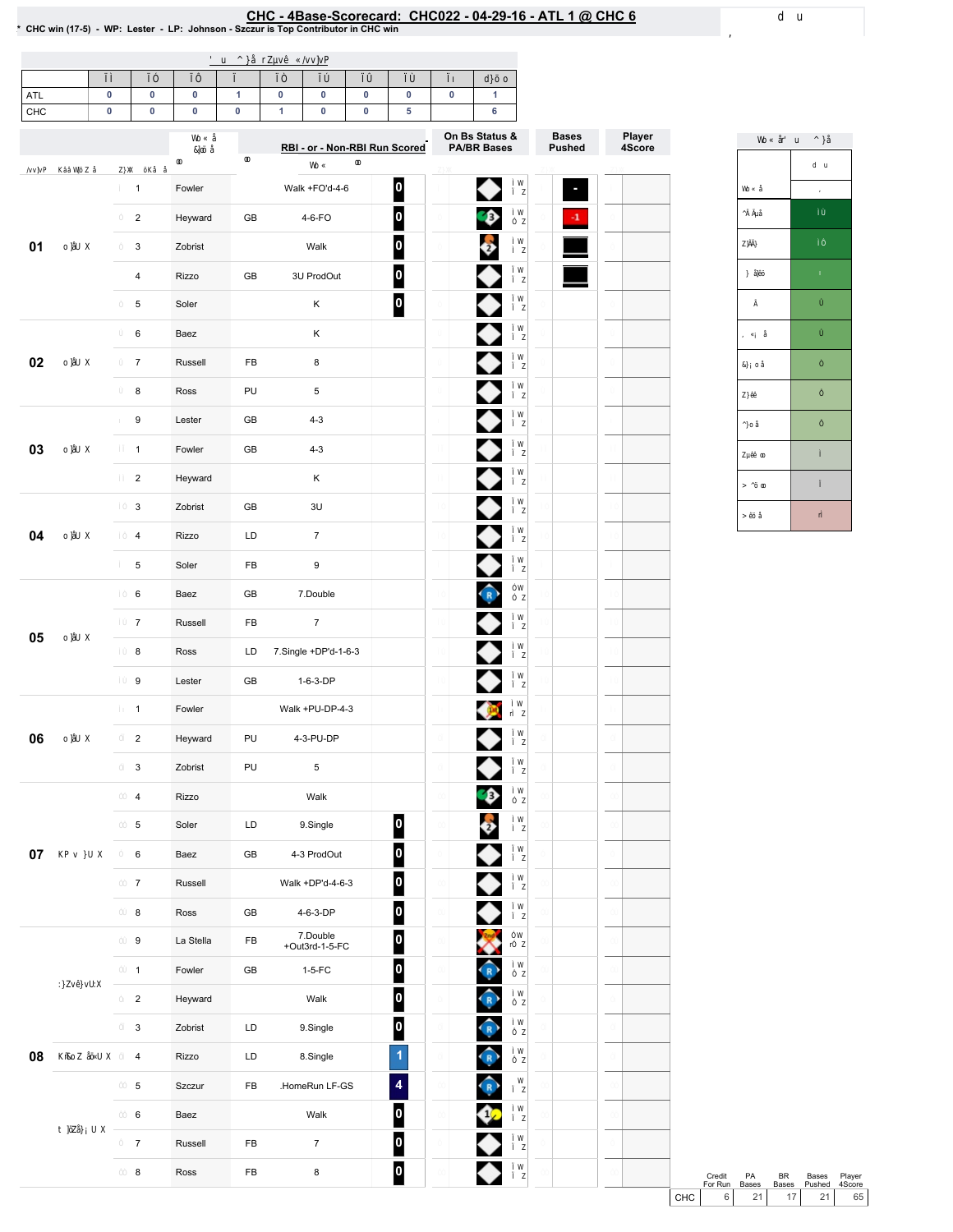# EHC - 4Base-Scorecard: CHC022 - 04-29-16 - ATL 1 @ CHC 6 \* cHC win (17-5) - WP: Lester - LP: Johnson - Szczur is Top Contributor in CHC win

| ATL<br>CHC | 0<br>0 | $\pmb{0}$<br>$\pmb{0}$  | 0<br>0    | 1<br>$\pmb{0}$ | 0<br>$\mathbf{1}$ | 0<br>0                        | $\pmb{0}$<br>$\pmb{0}$ | 0<br>${\bf 5}$          | 0 | $\mathbf{1}$<br>6    |               |        |
|------------|--------|-------------------------|-----------|----------------|-------------------|-------------------------------|------------------------|-------------------------|---|----------------------|---------------|--------|
|            |        |                         |           |                |                   |                               |                        |                         |   | On Bs Status &       | <b>Bases</b>  | Player |
|            |        |                         |           |                |                   | RBI - or - Non-RBI Run Scored |                        |                         |   | <b>PA/BR Bases</b>   | <b>Pushed</b> | 4Score |
|            |        | $\mathbf{1}$            | Fowler    |                |                   | Walk +FO'd-4-6                |                        |                         |   |                      |               |        |
|            |        | $\overline{2}$          | Heyward   | GB             |                   | 4-6-FO                        |                        | 0                       |   | Đ                    | $\cdot$ 1     |        |
| 01         |        | 3                       | Zobrist   |                |                   | Walk                          |                        | $\overline{\mathbf{0}}$ |   |                      |               |        |
|            |        | 4                       | Rizzo     | GB             |                   | 3U ProdOut                    |                        | 0                       |   |                      |               |        |
|            |        | 5                       | Soler     |                |                   | Κ                             |                        | $\overline{\mathbf{0}}$ |   |                      |               |        |
|            |        | 6                       | Baez      |                |                   | Κ                             |                        |                         |   |                      |               |        |
| 02         |        | $\overline{7}$          | Russell   | FB             |                   | 8                             |                        |                         |   |                      |               |        |
|            |        | 8                       | Ross      |                | PU<br>5           |                               |                        |                         |   |                      |               |        |
|            |        | 9                       | Lester    | GB             |                   | $4 - 3$                       |                        |                         |   |                      |               |        |
| 03         |        | $\mathbf{1}$            | Fowler    | GB             |                   | $4 - 3$                       |                        |                         |   |                      |               |        |
|            |        | $\overline{2}$          | Heyward   |                |                   | Κ                             |                        |                         |   |                      |               |        |
|            |        | 3                       | Zobrist   | GB             |                   | 3U                            |                        |                         |   |                      |               |        |
| 04         |        | 4                       | Rizzo     | LD             |                   | $\overline{7}$                |                        |                         |   |                      |               |        |
|            |        | 5                       | Soler     | FB             |                   | 9                             |                        |                         |   |                      |               |        |
|            |        | 6                       | Baez      | GB             |                   | 7.Double                      |                        |                         |   | $\bigodot$           |               |        |
| 05         |        | $\overline{7}$          | Russell   | FB             |                   | $\overline{7}$                |                        |                         |   |                      |               |        |
|            |        | 8                       | Ross      | LD             |                   | 7.Single +DP'd-1-6-3          |                        |                         |   |                      |               |        |
|            |        | 9                       | Lester    | GB             |                   | 1-6-3-DP                      |                        |                         |   |                      |               |        |
|            |        | $\mathbf{1}$            | Fowler    |                |                   | Walk +PU-DP-4-3               |                        |                         |   |                      |               |        |
| 06         |        | $\overline{\mathbf{c}}$ | Heyward   | PU             |                   | 4-3-PU-DP                     |                        |                         |   |                      |               |        |
|            |        | 3                       | Zobrist   | PU             |                   | 5                             |                        |                         |   | $\blacktriangledown$ |               |        |
|            |        | 4                       | Rizzo     |                |                   | Walk                          |                        |                         |   | CB-                  |               |        |
|            |        | 5                       | Soler     | LD             |                   | 9.Single                      |                        | $\vert$ 0 $\vert$       |   |                      |               |        |
| $07\,$     |        | 6                       | Baez      | $\mathsf{GB}$  |                   | 4-3 ProdOut                   |                        | $\overline{\mathbf{0}}$ |   |                      |               |        |
|            |        | $\overline{7}$          | Russell   |                |                   | Walk +DP'd-4-6-3              |                        | $\overline{\mathbf{0}}$ |   |                      |               |        |
|            |        | 8                       | Ross      | GB             |                   | 4-6-3-DP                      |                        | $\overline{\mathbf{0}}$ |   |                      |               |        |
|            |        | 9                       | La Stella | FB             |                   | 7.Double<br>+Out3rd-1-5-FC    |                        | $\vert$ 0               |   |                      |               |        |
|            |        | $\mathbf{1}$            | Fowler    | GB             |                   | $1-5-FC$                      |                        | 0                       |   |                      |               |        |
|            |        | $\overline{\mathbf{c}}$ | Heyward   |                |                   | Walk                          |                        | 0                       |   | $\mathbf R$          |               |        |
|            |        | 3                       | Zobrist   | LD             |                   | 9.Single                      |                        | 0                       |   | R                    |               |        |
| 08         |        | 4                       | Rizzo     | $\mathsf{LD}$  |                   | 8.Single                      |                        | 1                       |   | $\hat{R}$            |               |        |
|            |        | 5                       | Szczur    | FB             |                   | .HomeRun LF-GS                |                        | 4                       |   | $\widehat{R}$        |               |        |
|            |        | 6                       | Baez      |                |                   | Walk                          |                        | $\overline{\mathbf{0}}$ |   |                      |               |        |
|            |        | $\overline{7}$          | Russell   | FB             |                   | $\overline{7}$                |                        | 0                       |   |                      |               |        |
|            |        | 8                       | Ross      | ${\sf FB}$     |                   | $\bf8$                        |                        | $\overline{\mathbf{0}}$ |   |                      |               |        |
|            |        |                         |           |                |                   |                               |                        |                         |   |                      |               |        |



Credit ForRun PA Bases Credit PA BR Bases Player<br>
For Run Bases Bases Pushed 4Score<br>
CHC 6 21 17 21 65 Bases Pushed Player 4Score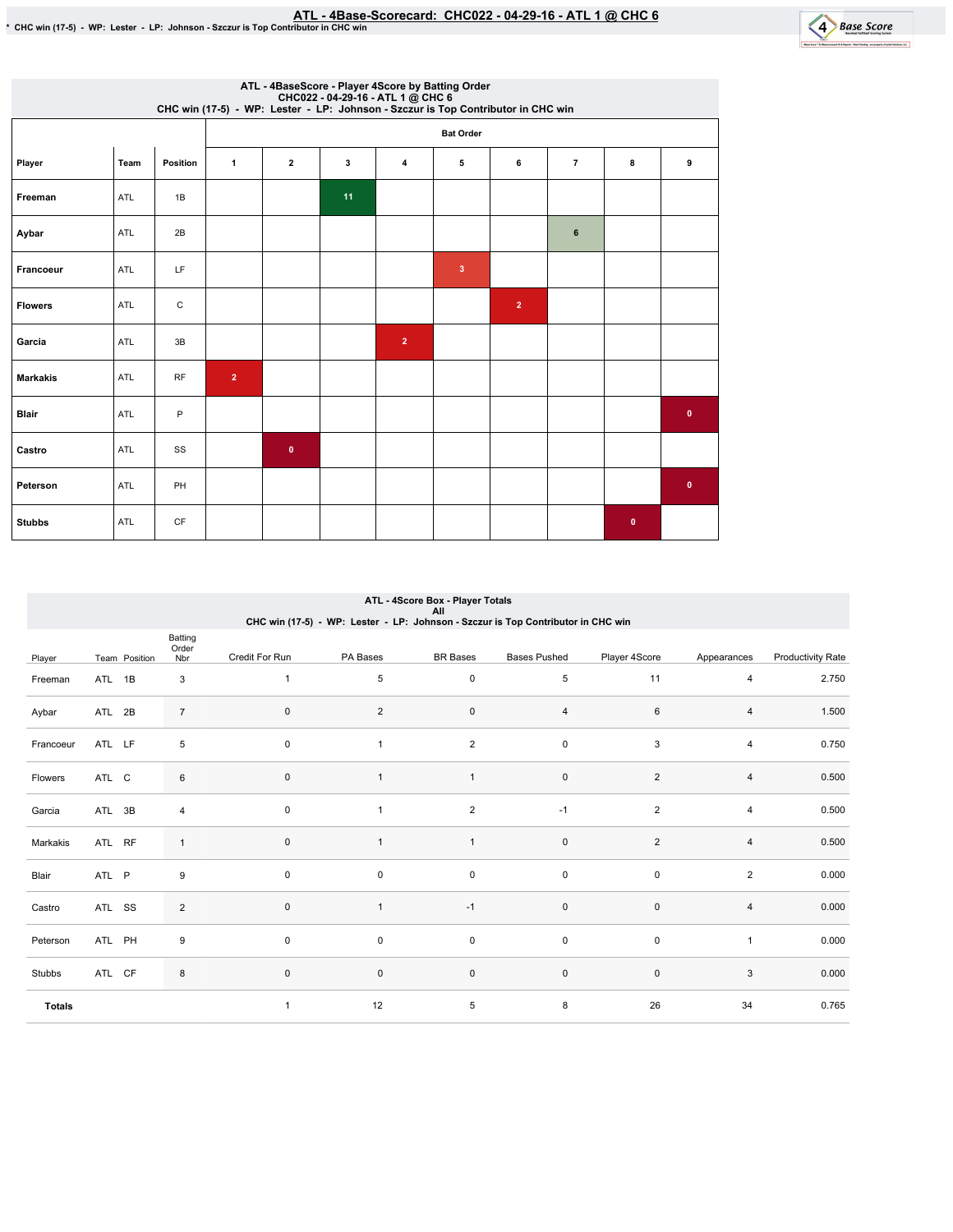

| ATL - 4BaseScore - Player 4Score by Batting Order<br>CHC022 - 04-29-16 - ATL 1 @ CHC 6<br>CHC win (17-5) - WP: Lester - LP: Johnson - Szczur is Top Contributor in CHC win |      |             |                  |                         |    |                |   |                |                |              |              |  |  |  |
|----------------------------------------------------------------------------------------------------------------------------------------------------------------------------|------|-------------|------------------|-------------------------|----|----------------|---|----------------|----------------|--------------|--------------|--|--|--|
|                                                                                                                                                                            |      |             | <b>Bat Order</b> |                         |    |                |   |                |                |              |              |  |  |  |
| Player                                                                                                                                                                     | Team | Position    | $\mathbf{1}$     | $\overline{\mathbf{2}}$ | 3  | $\overline{4}$ | 5 | 6              | $\overline{7}$ | 8            | 9            |  |  |  |
| Freeman                                                                                                                                                                    | ATL  | 1B          |                  |                         | 11 |                |   |                |                |              |              |  |  |  |
| Aybar                                                                                                                                                                      | ATL  | 2B          |                  |                         |    |                |   |                | 6              |              |              |  |  |  |
| Francoeur                                                                                                                                                                  | ATL  | LF          |                  |                         |    |                | 3 |                |                |              |              |  |  |  |
| <b>Flowers</b>                                                                                                                                                             | ATL  | $\mathbf C$ |                  |                         |    |                |   | $\overline{2}$ |                |              |              |  |  |  |
| Garcia                                                                                                                                                                     | ATL  | 3B          |                  |                         |    | $\overline{2}$ |   |                |                |              |              |  |  |  |
| <b>Markakis</b>                                                                                                                                                            | ATL  | <b>RF</b>   | $\overline{2}$   |                         |    |                |   |                |                |              |              |  |  |  |
| <b>Blair</b>                                                                                                                                                               | ATL  | P           |                  |                         |    |                |   |                |                |              | $\mathbf{0}$ |  |  |  |
| Castro                                                                                                                                                                     | ATL  | SS          |                  | $\mathbf{0}$            |    |                |   |                |                |              |              |  |  |  |
| Peterson                                                                                                                                                                   | ATL  | PH          |                  |                         |    |                |   |                |                |              | $\mathbf{0}$ |  |  |  |
| <b>Stubbs</b>                                                                                                                                                              | ATL  | CF          |                  |                         |    |                |   |                |                | $\mathbf{0}$ |              |  |  |  |

### Player Team Position Batting Order<br>Nbr Credit For Run PA Bases BR Bases Bases Pushed Player 4Score Appearances Productivity Rate Freeman ATL 1B 3 Aybar ATL 2B 7 Francoeur ATL LF 5 Flowers ATL C 6 Garcia ATL 3B 4 Markakis ATL RF 1 Blair ATL P 9 Castro ATL SS 2 Peterson ATL PH 9 Stubbs ATL CF 8 Totals 1 5 0 5 11 4 2.750 0 2 0 4 6 4 1.500 0 1 2 0 3 4 0.750 0 1 1 0 2 4 0.500 0 1 2 -1 2 4 0.500 0 1 1 0 2 4 0.500  $0$  0 0 0 0 0  $2$  0.000 0 1 -1 0 0 4 0.000  $0$  0 0 0 0 0 1 0.000 0 0 0 0 0 0 3 0.000 1 12 5 8 26 34 0.765 ATL - 4Score Box - Player Totals All<br>CHC win (17-5) - WP: Lester - LP: Johnson - Szczur is Top Contributor in CHC win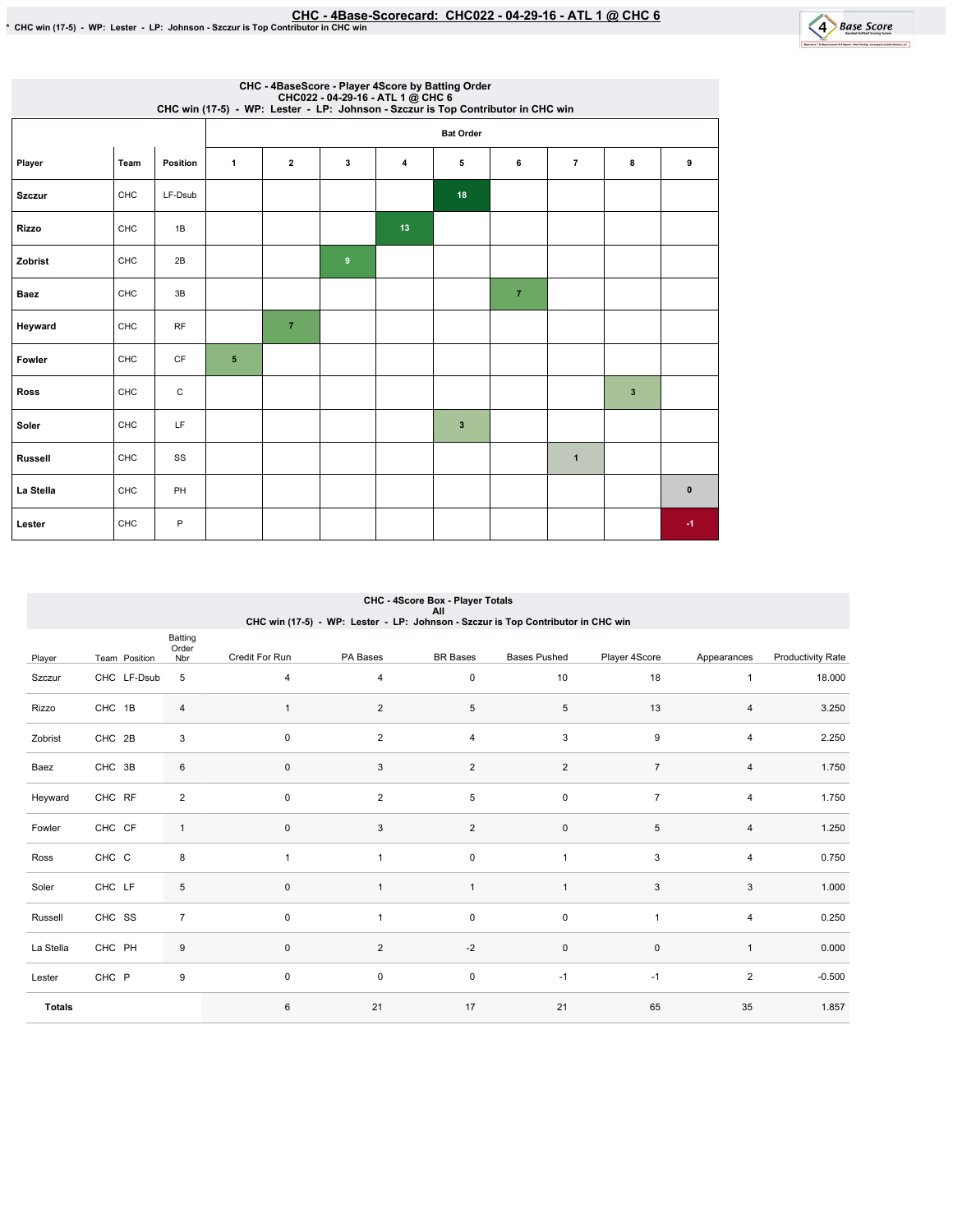

| CHC - 4BaseScore - Player 4Score by Batting Order<br>CHC022 - 04-29-16 - ATL 1 @ CHC 6<br>CHC win (17-5) - WP: Lester - LP: Johnson - Szczur is Top Contributor in CHC win |      |           |              |                         |                  |                |                         |                |                |              |           |  |  |  |
|----------------------------------------------------------------------------------------------------------------------------------------------------------------------------|------|-----------|--------------|-------------------------|------------------|----------------|-------------------------|----------------|----------------|--------------|-----------|--|--|--|
|                                                                                                                                                                            |      |           |              | <b>Bat Order</b>        |                  |                |                         |                |                |              |           |  |  |  |
| Player                                                                                                                                                                     | Team | Position  | $\mathbf{1}$ | $\overline{\mathbf{2}}$ | 3                | $\overline{4}$ | 5                       | 6              | $\overline{7}$ | 8            | 9         |  |  |  |
| <b>Szczur</b>                                                                                                                                                              | CHC  | LF-Dsub   |              |                         |                  |                | 18                      |                |                |              |           |  |  |  |
| <b>Rizzo</b>                                                                                                                                                               | CHC  | 1B        |              |                         |                  | 13             |                         |                |                |              |           |  |  |  |
| Zobrist                                                                                                                                                                    | CHC  | 2B        |              |                         | $\boldsymbol{9}$ |                |                         |                |                |              |           |  |  |  |
| Baez                                                                                                                                                                       | CHC  | 3B        |              |                         |                  |                |                         | $\overline{7}$ |                |              |           |  |  |  |
| Heyward                                                                                                                                                                    | CHC  | <b>RF</b> |              | $\overline{7}$          |                  |                |                         |                |                |              |           |  |  |  |
| Fowler                                                                                                                                                                     | CHC  | <b>CF</b> | 5            |                         |                  |                |                         |                |                |              |           |  |  |  |
| Ross                                                                                                                                                                       | CHC  | C         |              |                         |                  |                |                         |                |                | $\mathbf{3}$ |           |  |  |  |
| Soler                                                                                                                                                                      | CHC  | LF        |              |                         |                  |                | $\overline{\mathbf{3}}$ |                |                |              |           |  |  |  |
| <b>Russell</b>                                                                                                                                                             | CHC  | SS        |              |                         |                  |                |                         |                | $\mathbf{1}$   |              |           |  |  |  |
| La Stella                                                                                                                                                                  | CHC  | PH        |              |                         |                  |                |                         |                |                |              | $\pmb{0}$ |  |  |  |
| Lester                                                                                                                                                                     | CHC  | P         |              |                         |                  |                |                         |                |                |              | $-1$      |  |  |  |

|                                                                                  | CHC - 4Score Box - Player Totals<br>All |                         |                     |                         |                 |                     |                |                |                          |  |  |  |  |  |
|----------------------------------------------------------------------------------|-----------------------------------------|-------------------------|---------------------|-------------------------|-----------------|---------------------|----------------|----------------|--------------------------|--|--|--|--|--|
| CHC win (17-5) - WP: Lester - LP: Johnson - Szczur is Top Contributor in CHC win |                                         |                         |                     |                         |                 |                     |                |                |                          |  |  |  |  |  |
|                                                                                  |                                         | Batting<br>Order        |                     |                         |                 |                     |                |                |                          |  |  |  |  |  |
| Player                                                                           | Team Position                           | Nbr                     | Credit For Run      | PA Bases                | <b>BR</b> Bases | <b>Bases Pushed</b> | Player 4Score  | Appearances    | <b>Productivity Rate</b> |  |  |  |  |  |
| Szczur                                                                           | CHC LF-Dsub                             | 5                       | $\overline{4}$      | 4                       | $\mathbf 0$     | 10                  | 18             | $\mathbf{1}$   | 18.000                   |  |  |  |  |  |
| Rizzo                                                                            | CHC 1B                                  | 4                       | $\mathbf{1}$        | $\overline{\mathbf{c}}$ | $\,$ 5 $\,$     | 5                   | 13             | 4              | 3.250                    |  |  |  |  |  |
| Zobrist                                                                          | CHC 2B                                  | $\mathsf 3$             | $\mathbf 0$         | $\overline{2}$          | 4               | 3                   | 9              | 4              | 2.250                    |  |  |  |  |  |
| Baez                                                                             | CHC 3B                                  | 6                       | $\mathsf{O}\xspace$ | 3                       | $\sqrt{2}$      | $\sqrt{2}$          | $\overline{7}$ | 4              | 1.750                    |  |  |  |  |  |
| Heyward                                                                          | CHC RF                                  | $\overline{\mathbf{c}}$ | $\mathbf 0$         | 2                       | $\sqrt{5}$      | 0                   | $\overline{7}$ | $\overline{4}$ | 1.750                    |  |  |  |  |  |
| Fowler                                                                           | CHC CF                                  | $\mathbf{1}$            | $\pmb{0}$           | 3                       | $\sqrt{2}$      | $\pmb{0}$           | 5              | $\overline{4}$ | 1.250                    |  |  |  |  |  |
| Ross                                                                             | CHC C                                   | 8                       | $\mathbf{1}$        | $\mathbf{1}$            | $\mathsf 0$     | $\mathbf{1}$        | 3              | $\overline{4}$ | 0.750                    |  |  |  |  |  |
| Soler                                                                            | CHC LF                                  | 5                       | $\mathsf{O}\xspace$ | 1                       | $\mathbf{1}$    | $\mathbf{1}$        | $\sqrt{3}$     | 3              | 1.000                    |  |  |  |  |  |
| Russell                                                                          | CHC SS                                  | $\overline{7}$          | $\mathbf 0$         | $\mathbf{1}$            | $\mathbf 0$     | 0                   | $\overline{1}$ | $\overline{4}$ | 0.250                    |  |  |  |  |  |
| La Stella                                                                        | CHC PH                                  | 9                       | $\mathsf{O}\xspace$ | $\overline{c}$          | $-2$            | $\pmb{0}$           | $\pmb{0}$      | $\mathbf{1}$   | 0.000                    |  |  |  |  |  |
| Lester                                                                           | CHC P                                   | 9                       | $\mathbf 0$         | 0                       | $\mathsf 0$     | $-1$                | $-1$           | $\overline{2}$ | $-0.500$                 |  |  |  |  |  |
| <b>Totals</b>                                                                    |                                         |                         | 6                   | 21                      | 17              | 21                  | 65             | 35             | 1.857                    |  |  |  |  |  |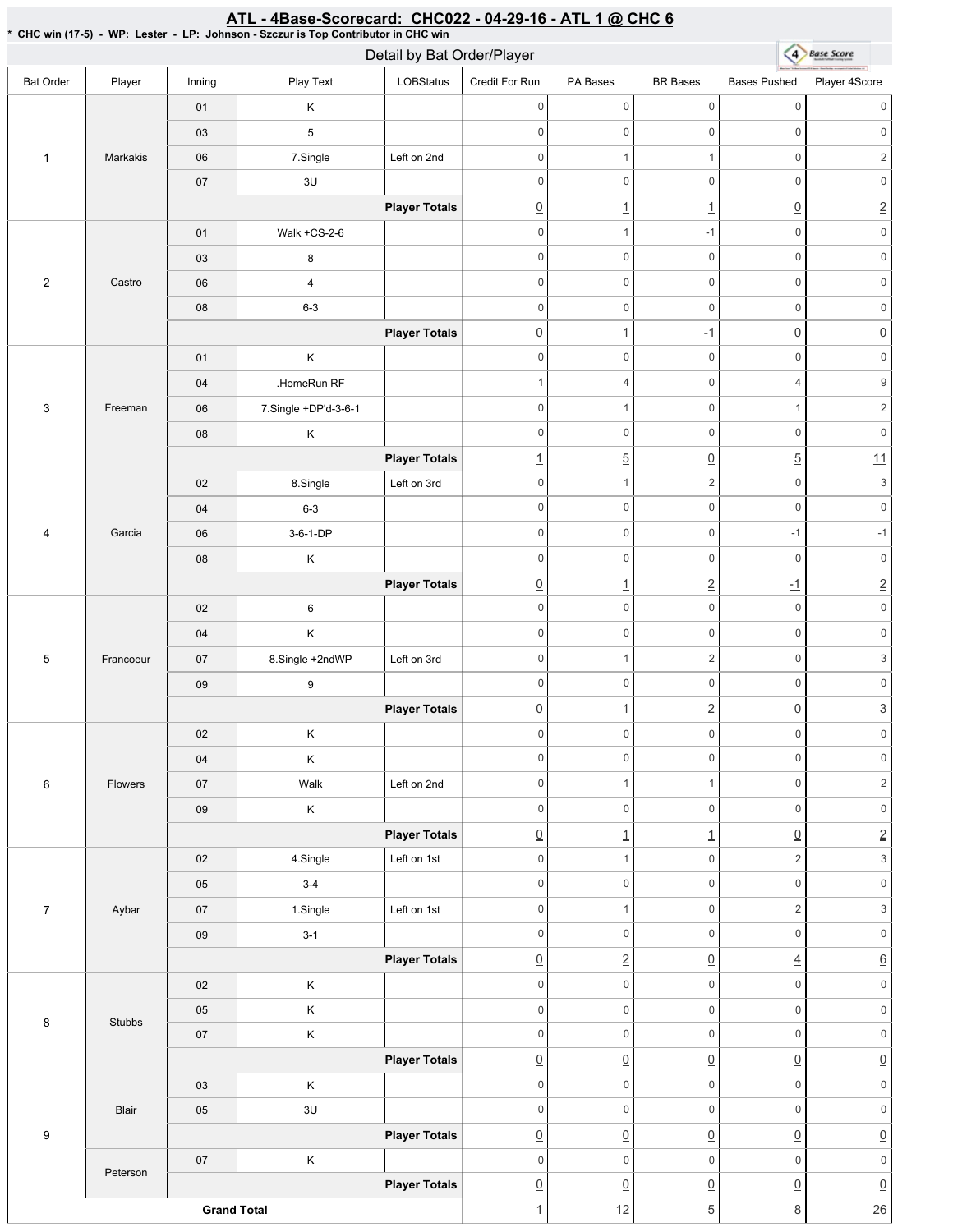#### \* CHC win (17-5) -WP: Lester - LP: Johnson - Szczur is Top Contributor in CHC win 4 Base Score Detail by Bat Order/Player Bat Order | Player | Inning | PlayText | LOBStatus Credit For Run PA Bases BR Bases Bases Pushed Player 4Score 0 0 0 0 0 0 01 K 0 0 0 0 0 0 03 5 1 Markakis 06 7.Single Left on 2nd 0 1 1 0 2 07 3U 0 0 0 0 0 0 **Player Totals**  $\begin{array}{ccc} \boxed{0} & 1 & 1 & \boxed{1} & \boxed{0} & \boxed{2} \end{array}$ 01 Walk+CS-2-6 0 1 -1 0 0 03 8 0 0 0 0 0 0 2 Castro 06 4 0 0 0 0 0 0 08 6-3 0 0 0 0 0 0 **Player Totals** 0 1 -1 0 0 0 0 0 0 0 0 01 K 04 .HomeRun RF 1 4 0 4 9 3 Freeman 06 7.Single +DP'd-3-6-1 0 1 0 1 2 0 0 0 0 0 0 08 K **Player Totals** 1  $\begin{array}{ccc} 1 & 5 & 0 & 5 & 11 \end{array}$ 02 | 8.Single | Left on 3rd 0 1 2 0 3 04 6-3 0 0 0 0 0 0 4 Garcia 06 3-6-1-DP 0 0 -1 -1 08 K 0 0 0 0 0 0 **Player Totals** 0 1 2 -1 2 0 0 0 0 0 0 02 6 04 K 0 0 0 0 0 0 5 Francoeur 07 8.Single +2ndWP Left on 3rd 0 1 2 0 3 0 0 0 0 0 0 09 9 **Player Totals**  $\boxed{0}$  1  $\boxed{2}$   $\boxed{0}$   $\boxed{3}$ 02 K 0 0 0 0 0 0 04 K 0 0 0 0 0 0 6 Flowers 07 | Walk Left on 2nd 0 1 1 0 2 0 0 0 0 0 0 09 K **Player Totals**  $\boxed{0}$  1  $\boxed{1}$   $\boxed{0}$  2 02 | 4.Single | Left on 1st 0 1 0 2 3 05 3-4 0 0 0 0 0 0 7 Aybar 07 | 1.Single | Left on 1st 0 1 0 2 3 09 3-1 0 0 0 0 0 0 **Player Totals** 0 2 0 4 6 02 K 0 0 0 0 0 0 05 K 0 0 0 0 0 0 8 Stubbs 0 0 0 0 0 0 07 K **Player Totals**  $\overline{0}$   $\overline{0}$   $\overline{0}$   $\overline{0}$   $\overline{0}$   $\overline{0}$   $\overline{0}$ 03 K 0 0 0 0 0 0 Blair 05 3U 0 0 0 0 0 0 9 **Player Totals**  $\overline{0}$   $\overline{0}$   $\overline{0}$   $\overline{0}$   $\overline{0}$   $\overline{0}$   $\overline{0}$ 07 K 0 0 0 0 0 0 Peterson **Player Totals**  $\overline{0}$   $\overline{0}$   $\overline{0}$   $\overline{0}$   $\overline{0}$   $\overline{0}$   $\overline{0}$ **Grand Total** 1  $\left| \frac{12}{2} \right|$  5  $\left| \frac{8}{26} \right|$  26

ATL - 4Base-Scorecard: CHC022 - 04-29-16 - ATL 1 @ CHC 6